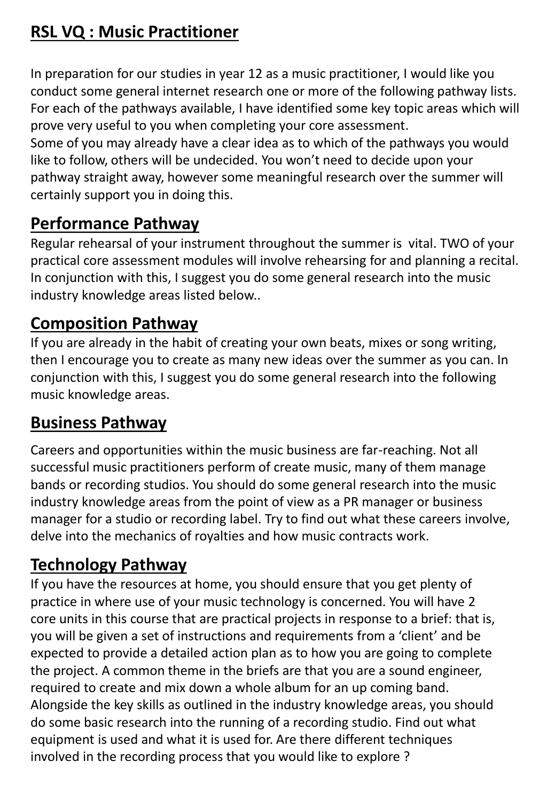# **RSL VQ : Music Practitioner**

In preparation for our studies in year 12 as a music practitioner, I would like you conduct some general internet research one or more of the following pathway lists. For each of the pathways available, I have identified some key topic areas which will prove very useful to you when completing your core assessment.

Some of you may already have a clear idea as to which of the pathways you would like to follow, others will be undecided. You won't need to decide upon your pathway straight away, however some meaningful research over the summer will certainly support you in doing this.

## **Performance Pathway**

Regular rehearsal of your instrument throughout the summer is vital. TWO of your practical core assessment modules will involve rehearsing for and planning a recital. In conjunction with this, I suggest you do some general research into the music industry knowledge areas listed below..

## **Composition Pathway**

If you are already in the habit of creating your own beats, mixes or song writing, then I encourage you to create as many new ideas over the summer as you can. In conjunction with this, I suggest you do some general research into the following music knowledge areas.

## **Business Pathway**

Careers and opportunities within the music business are far-reaching. Not all successful music practitioners perform of create music, many of them manage bands or recording studios. You should do some general research into the music industry knowledge areas from the point of view as a PR manager or business manager for a studio or recording label. Try to find out what these careers involve, delve into the mechanics of royalties and how music contracts work.

# **Technology Pathway**

If you have the resources at home, you should ensure that you get plenty of practice in where use of your music technology is concerned. You will have 2 core units in this course that are practical projects in response to a brief: that is, you will be given a set of instructions and requirements from a 'client' and be expected to provide a detailed action plan as to how you are going to complete the project. A common theme in the briefs are that you are a sound engineer, required to create and mix down a whole album for an up coming band. Alongside the key skills as outlined in the industry knowledge areas, you should do some basic research into the running of a recording studio. Find out what equipment is used and what it is used for. Are there different techniques involved in the recording process that you would like to explore ?